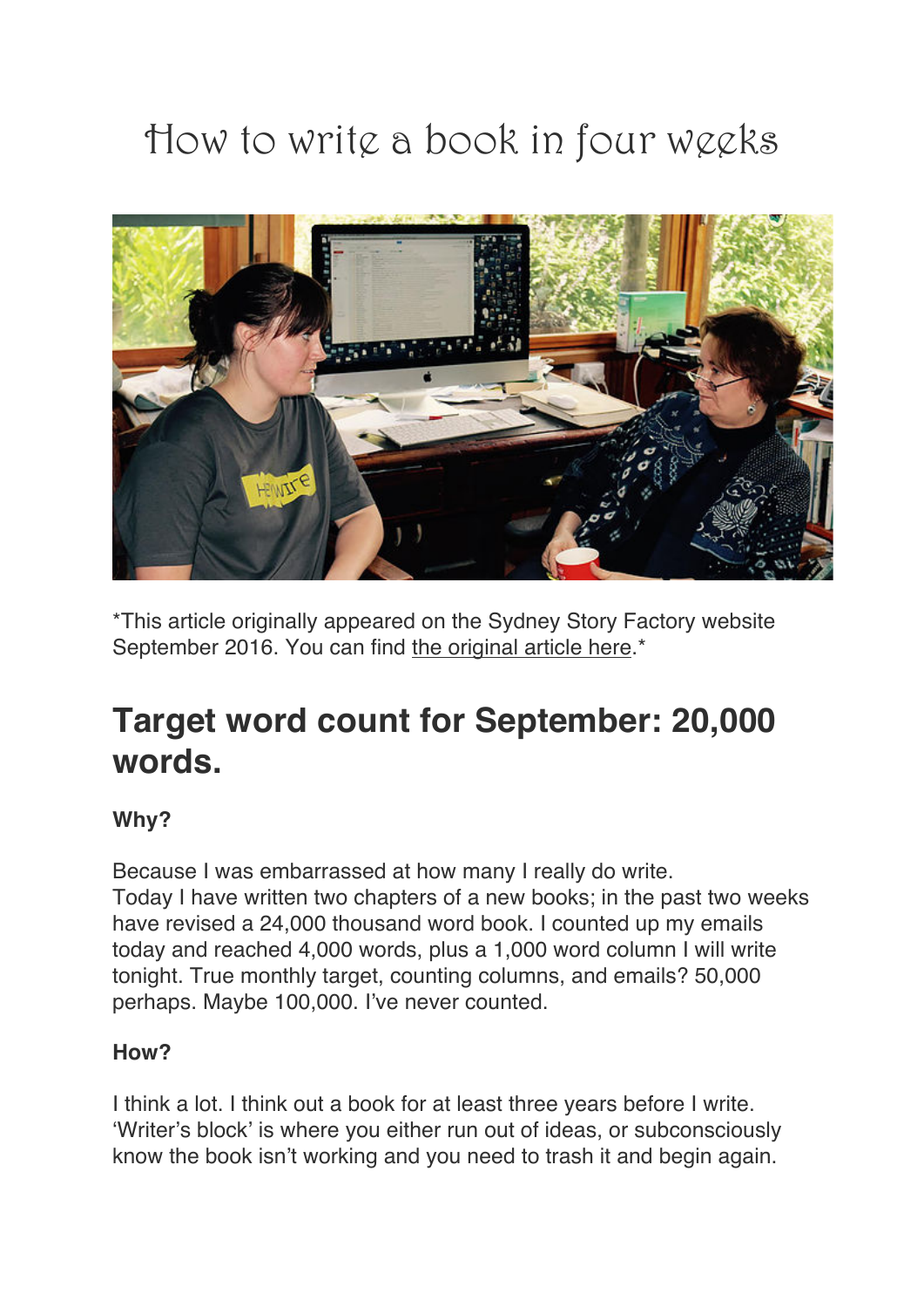# How to write a book in four weeks



\*This article originally appeared on the Sydney Story Factory website September 2016. You can find the original article here.\*

# **Target word count for September: 20,000 words.**

# **Why?**

Because I was embarrassed at how many I really do write. Today I have written two chapters of a new books; in the past two weeks have revised a 24,000 thousand word book. I counted up my emails today and reached 4,000 words, plus a 1,000 word column I will write tonight. True monthly target, counting columns, and emails? 50,000 perhaps. Maybe 100,000. I've never counted.

# **How?**

I think a lot. I think out a book for at least three years before I write. 'Writer's block' is where you either run out of ideas, or subconsciously know the book isn't working and you need to trash it and begin again.